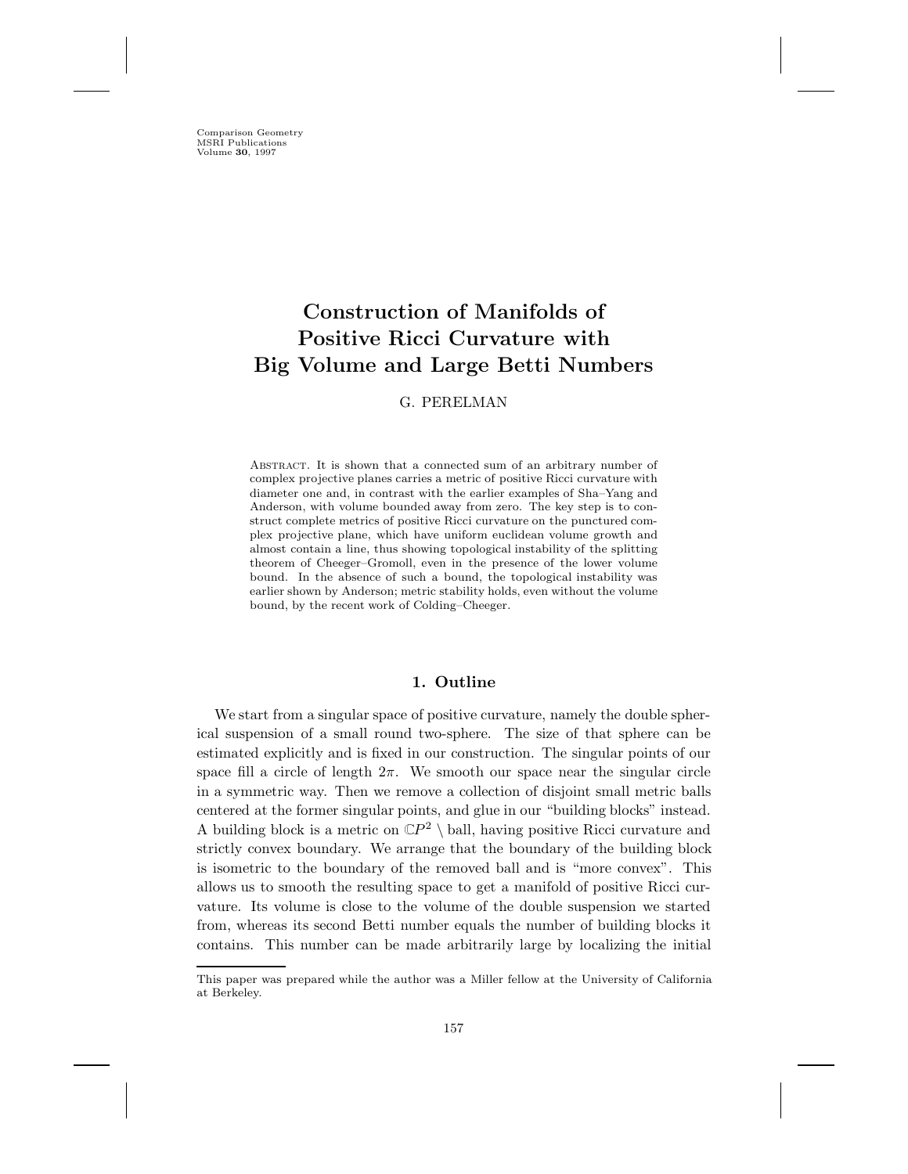Comparison Geometry MSRI Publications Volume **30**, 1997

# **Construction of Manifolds of Positive Ricci Curvature with Big Volume and Large Betti Numbers**

# G. PERELMAN

ABSTRACT. It is shown that a connected sum of an arbitrary number of complex projective planes carries a metric of positive Ricci curvature with diameter one and, in contrast with the earlier examples of Sha–Yang and Anderson, with volume bounded away from zero. The key step is to construct complete metrics of positive Ricci curvature on the punctured complex projective plane, which have uniform euclidean volume growth and almost contain a line, thus showing topological instability of the splitting theorem of Cheeger–Gromoll, even in the presence of the lower volume bound. In the absence of such a bound, the topological instability was earlier shown by Anderson; metric stability holds, even without the volume bound, by the recent work of Colding–Cheeger.

# **1. Outline**

We start from a singular space of positive curvature, namely the double spherical suspension of a small round two-sphere. The size of that sphere can be estimated explicitly and is fixed in our construction. The singular points of our space fill a circle of length  $2\pi$ . We smooth our space near the singular circle in a symmetric way. Then we remove a collection of disjoint small metric balls centered at the former singular points, and glue in our "building blocks" instead. A building block is a metric on  $\mathbb{C}P^2 \setminus$  ball, having positive Ricci curvature and strictly convex boundary. We arrange that the boundary of the building block is isometric to the boundary of the removed ball and is "more convex". This allows us to smooth the resulting space to get a manifold of positive Ricci curvature. Its volume is close to the volume of the double suspension we started from, whereas its second Betti number equals the number of building blocks it contains. This number can be made arbitrarily large by localizing the initial

This paper was prepared while the author was a Miller fellow at the University of California at Berkeley.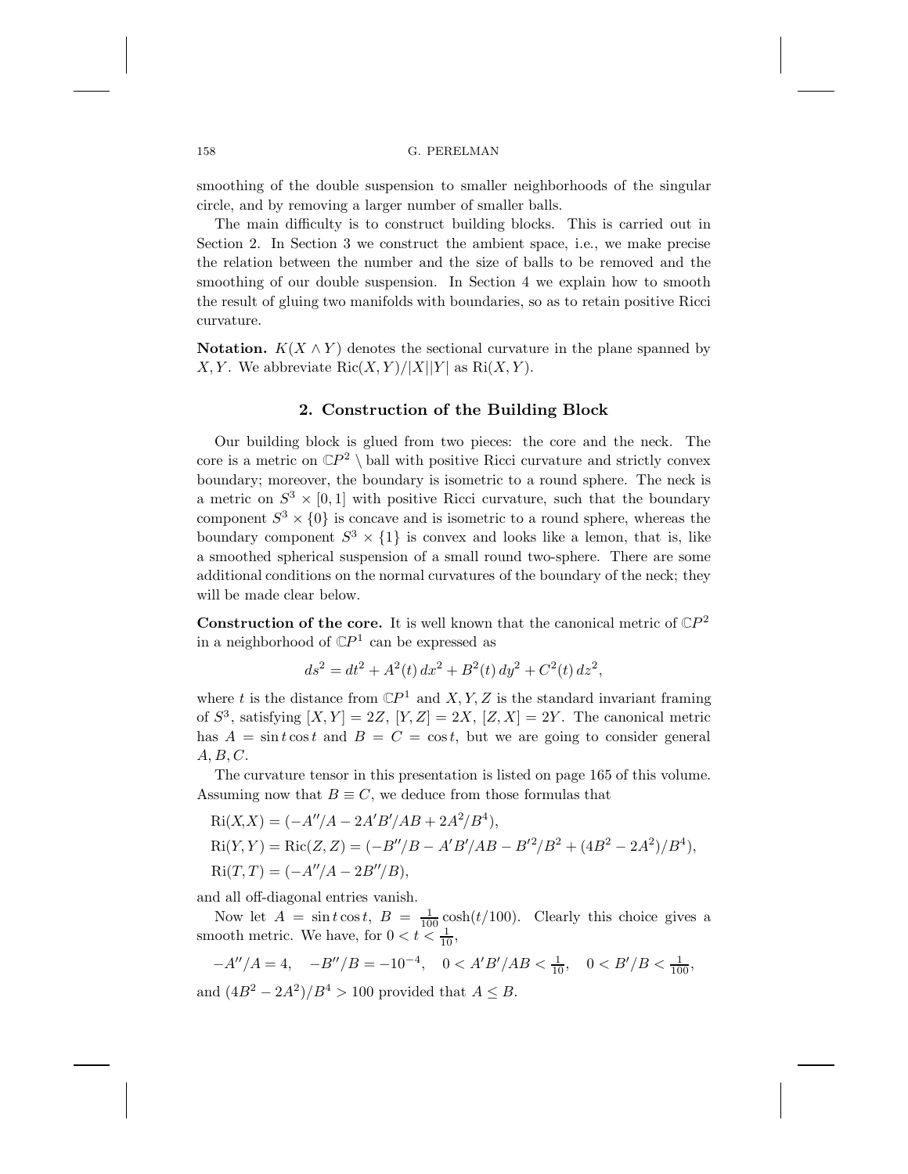#### 158 G. PERELMAN

smoothing of the double suspension to smaller neighborhoods of the singular circle, and by removing a larger number of smaller balls.

The main difficulty is to construct building blocks. This is carried out in Section 2. In Section 3 we construct the ambient space, i.e., we make precise the relation between the number and the size of balls to be removed and the smoothing of our double suspension. In Section 4 we explain how to smooth the result of gluing two manifolds with boundaries, so as to retain positive Ricci curvature.

**Notation.**  $K(X \wedge Y)$  denotes the sectional curvature in the plane spanned by X, Y. We abbreviate  $\text{Ric}(X, Y)/|X||Y|$  as  $\text{Ri}(X, Y)$ .

# **2. Construction of the Building Block**

Our building block is glued from two pieces: the core and the neck. The core is a metric on  $\mathbb{C}P^2 \setminus$  ball with positive Ricci curvature and strictly convex boundary; moreover, the boundary is isometric to a round sphere. The neck is a metric on  $S^3 \times [0, 1]$  with positive Ricci curvature, such that the boundary component  $S^3 \times \{0\}$  is concave and is isometric to a round sphere, whereas the boundary component  $S^3 \times \{1\}$  is convex and looks like a lemon, that is, like a smoothed spherical suspension of a small round two-sphere. There are some additional conditions on the normal curvatures of the boundary of the neck; they will be made clear below.

**Construction of the core.** It is well known that the canonical metric of  $\mathbb{C}P^2$ in a neighborhood of  $\mathbb{C}P^1$  can be expressed as

$$
ds^{2} = dt^{2} + A^{2}(t) dx^{2} + B^{2}(t) dy^{2} + C^{2}(t) dz^{2},
$$

where t is the distance from  $\mathbb{C}P^1$  and X, Y, Z is the standard invariant framing of  $S^3$ , satisfying  $[X, Y] = 2Z$ ,  $[Y, Z] = 2X$ ,  $[Z, X] = 2Y$ . The canonical metric has  $A = \sin t \cos t$  and  $B = C = \cos t$ , but we are going to consider general  $A, B, C.$ 

The curvature tensor in this presentation is listed on page 165 of this volume. Assuming now that  $B \equiv C$ , we deduce from those formulas that

$$
Ri(X, X) = (-A''/A - 2A'B'/AB + 2A^{2}/B^{4}),
$$
  
\n
$$
Ri(Y, Y) = Ric(Z, Z) = (-B''/B - A'B'/AB - B'^{2}/B^{2} + (4B^{2} - 2A^{2})/B^{4}),
$$
  
\n
$$
Ri(T, T) = (-A''/A - 2B''/B),
$$

and all off-diagonal entries vanish.

Now let  $A = \sin t \cos t$ ,  $B = \frac{1}{100} \cosh(t/100)$ . Clearly this choice gives a smooth metric. We have, for  $0 < t < \frac{1}{10}$ ,

$$
-A''/A = 4, \quad -B''/B = -10^{-4}, \quad 0 < A'B'/AB < \frac{1}{10}, \quad 0 < B'/B < \frac{1}{100},
$$

and  $(4B^2 - 2A^2)/B^4 > 100$  provided that  $A \leq B$ .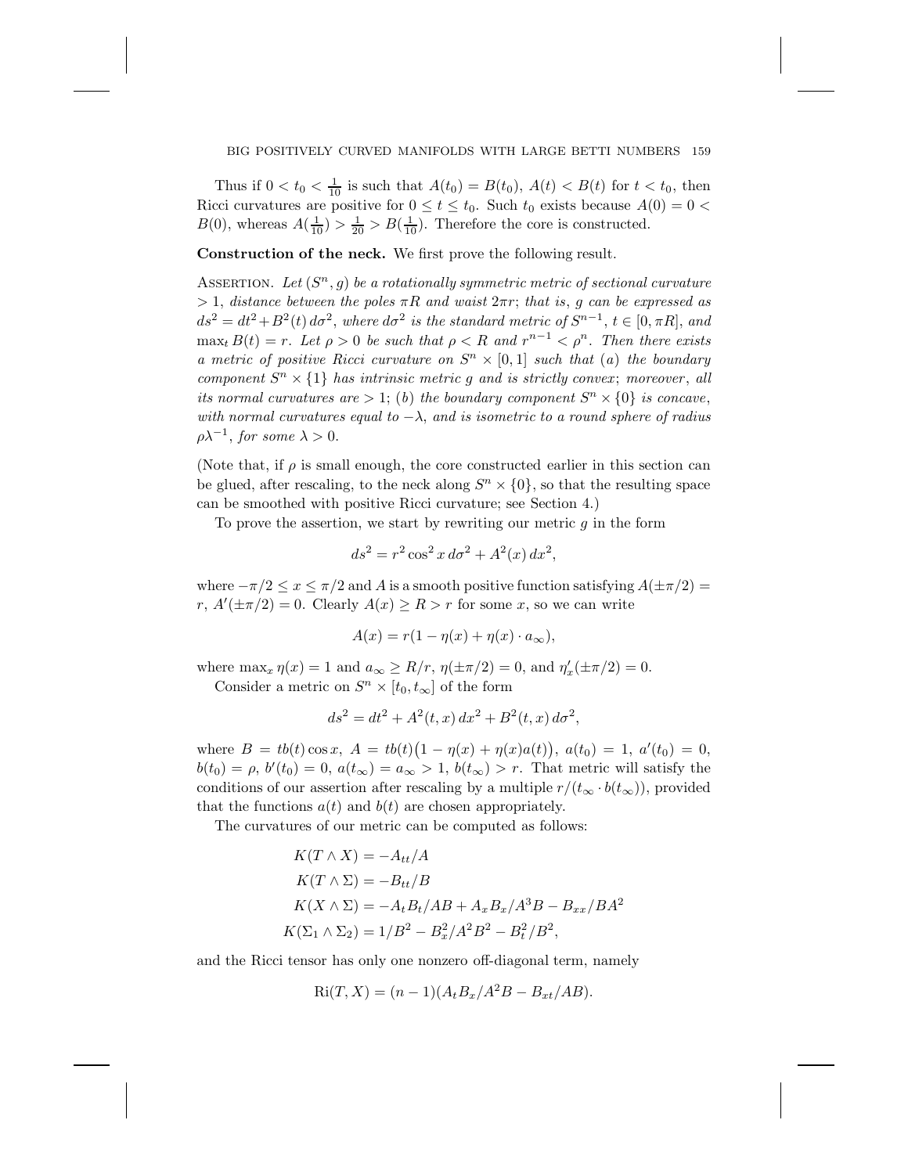#### BIG POSITIVELY CURVED MANIFOLDS WITH LARGE BETTI NUMBERS 159

Thus if  $0 < t_0 < \frac{1}{10}$  is such that  $A(t_0) = B(t_0)$ ,  $A(t) < B(t)$  for  $t < t_0$ , then Ricci curvatures are positive for  $0 \le t \le t_0$ . Such  $t_0$  exists because  $A(0) = 0$  $B(0)$ , whereas  $A(\frac{1}{10}) > \frac{1}{20} > B(\frac{1}{10})$ . Therefore the core is constructed.

**Construction of the neck.** We first prove the following result.

ASSERTION. Let  $(S^n, g)$  be a rotationally symmetric metric of sectional curvature  $> 1$ , *distance between the poles*  $\pi R$  *and waist*  $2\pi r$ ; *that is*, *g can be expressed as*  $ds^2 = dt^2 + B^2(t) d\sigma^2$ , where  $d\sigma^2$  *is the standard metric of*  $S^{n-1}$ ,  $t \in [0, \pi R]$ , and  $\max_{t} B(t) = r$ . Let  $\rho > 0$  be such that  $\rho < R$  and  $r^{n-1} < \rho^n$ . Then there exists *a metric of positive Ricci curvature on*  $S<sup>n</sup> \times [0,1]$  *such that* (*a*) *the boundary component*  $S<sup>n</sup> \times \{1\}$  *has intrinsic metric q and is strictly convex; moreover, all its normal curvatures are*  $> 1$ ; (*b*) *the boundary component*  $S<sup>n</sup> \times \{0\}$  *is concave*, *with normal curvatures equal to* −λ, *and is isometric to a round sphere of radius*  $\rho \lambda^{-1}$ , *for some*  $\lambda > 0$ .

(Note that, if  $\rho$  is small enough, the core constructed earlier in this section can be glued, after rescaling, to the neck along  $S<sup>n</sup> \times \{0\}$ , so that the resulting space can be smoothed with positive Ricci curvature; see Section 4.)

To prove the assertion, we start by rewriting our metric  $g$  in the form

$$
ds^{2} = r^{2} \cos^{2} x \, d\sigma^{2} + A^{2}(x) \, dx^{2},
$$

where  $-\pi/2 \le x \le \pi/2$  and A is a smooth positive function satisfying  $A(\pm \pi/2) =$  $r, A'(\pm \pi/2) = 0.$  Clearly  $A(x) \ge R > r$  for some x, so we can write

$$
A(x) = r(1 - \eta(x) + \eta(x) \cdot a_{\infty}),
$$

where  $\max_x \eta(x) = 1$  and  $a_\infty \ge R/r$ ,  $\eta(\pm \pi/2) = 0$ , and  $\eta'_x(\pm \pi/2) = 0$ .<br>Consider a matrix on  $S^n$  is  $[1, 1]$  of the form Consider a metric on  $S<sup>n</sup> \times [t_0, t_{\infty}]$  of the form

$$
ds^{2} = dt^{2} + A^{2}(t, x) dx^{2} + B^{2}(t, x) d\sigma^{2},
$$

where  $B = tb(t)\cos x$ ,  $A = tb(t)(1 - \eta(x) + \eta(x)a(t))$ ,  $a(t_0) = 1$ ,  $a'(t_0) = 0$ ,  $b(t_0) = \rho, b'(t_0) = 0, a(t_\infty) = a_\infty > 1, b(t_\infty) > r.$  That metric will satisfy the conditions of our assertion after rescaling by a multiple  $r/(t_{\infty} \cdot b(t_{\infty}))$ , provided that the functions  $a(t)$  and  $b(t)$  are chosen appropriately.

The curvatures of our metric can be computed as follows:

$$
K(T \wedge X) = -A_{tt}/A
$$
  
\n
$$
K(T \wedge \Sigma) = -B_{tt}/B
$$
  
\n
$$
K(X \wedge \Sigma) = -A_t B_t / AB + A_x B_x / A^3 B - B_{xx} / BA^2
$$
  
\n
$$
K(\Sigma_1 \wedge \Sigma_2) = 1/B^2 - B_x^2 / A^2 B^2 - B_t^2 / B^2,
$$

and the Ricci tensor has only one nonzero off-diagonal term, namely

$$
Ri(T, X) = (n - 1)(A_t B_x / A^2 B - B_{xt} / AB).
$$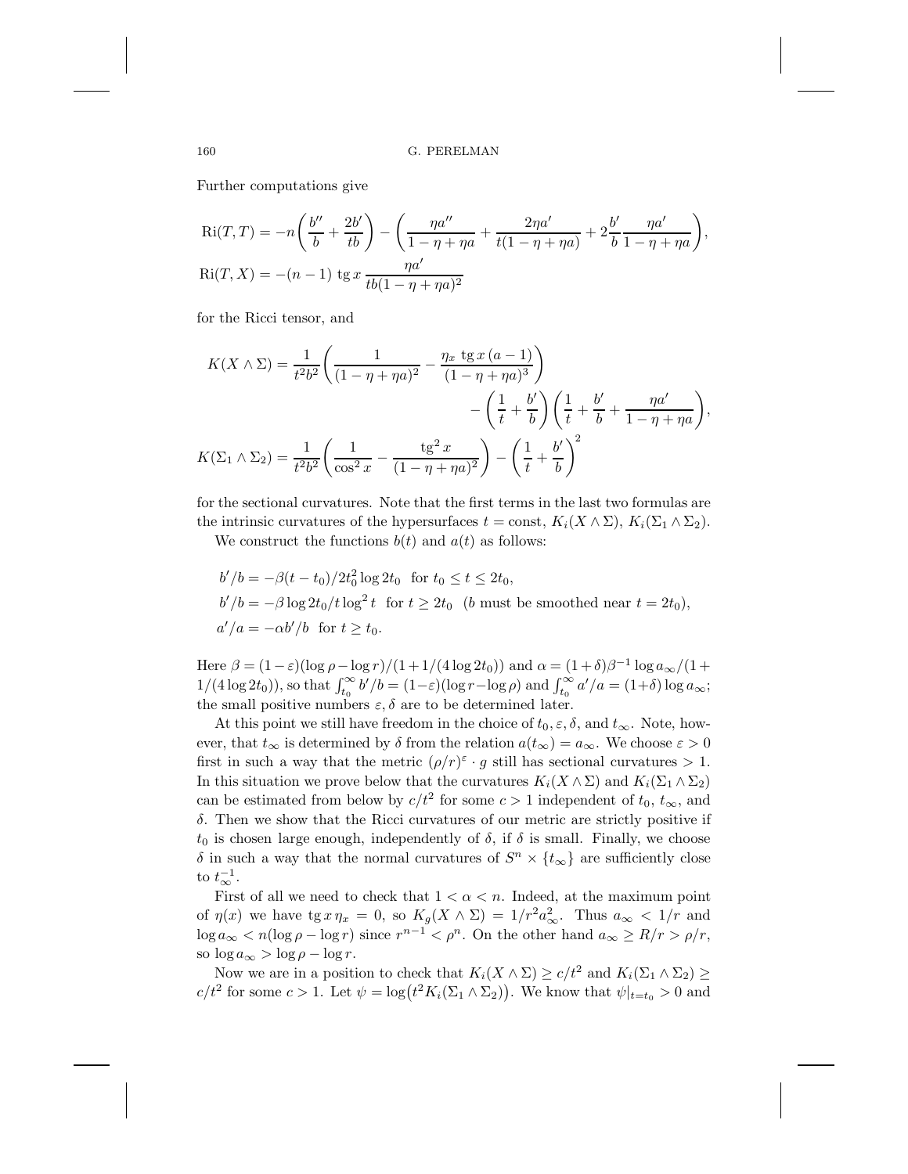160 G. PERELMAN

Further computations give

$$
Ri(T,T) = -n\left(\frac{b''}{b} + \frac{2b'}{tb}\right) - \left(\frac{\eta a''}{1 - \eta + \eta a} + \frac{2\eta a'}{t(1 - \eta + \eta a)} + 2\frac{b'}{b}\frac{\eta a'}{1 - \eta + \eta a}\right),
$$
  
\n
$$
Ri(T,X) = -(n-1) \text{ ts } x \frac{\eta a'}{tb(1 - \eta + \eta a)^2}
$$

for the Ricci tensor, and

$$
K(X \wedge \Sigma) = \frac{1}{t^2 b^2} \left( \frac{1}{(1 - \eta + \eta a)^2} - \frac{\eta_x \text{tg } x (a - 1)}{(1 - \eta + \eta a)^3} \right)
$$

$$
- \left( \frac{1}{t} + \frac{b'}{b} \right) \left( \frac{1}{t} + \frac{b'}{b} + \frac{\eta a'}{1 - \eta + \eta a} \right),
$$

$$
K(\Sigma_1 \wedge \Sigma_2) = \frac{1}{t^2 b^2} \left( \frac{1}{\cos^2 x} - \frac{\text{tg}^2 x}{(1 - \eta + \eta a)^2} \right) - \left( \frac{1}{t} + \frac{b'}{b} \right)^2
$$

for the sectional curvatures. Note that the first terms in the last two formulas are the intrinsic curvatures of the hypersurfaces  $t = \text{const}, K_i(X \wedge \Sigma), K_i(\Sigma_1 \wedge \Sigma_2)$ .

We construct the functions  $b(t)$  and  $a(t)$  as follows:

$$
b'/b = -\beta(t - t_0)/2t_0^2 \log 2t_0 \text{ for } t_0 \le t \le 2t_0,
$$
  
\n
$$
b'/b = -\beta \log 2t_0/t \log^2 t \text{ for } t \ge 2t_0 \text{ (b must be smoothed near } t = 2t_0),
$$
  
\n
$$
a'/a = -\alpha b'/b \text{ for } t \ge t_0.
$$

Here  $\beta = (1 - \varepsilon)(\log \rho - \log r)/(1 + 1/(4 \log 2t_0))$  and  $\alpha = (1 + \delta)\beta^{-1} \log a_{\infty}/(1 +$  $1/(4 \log 2t_0)$ , so that  $\int_{\alpha}^{\infty} b'/b = (1-\varepsilon)(\log r - \log \rho)$  and  $\int_{t_0}^{\infty} a'/a = (1+\delta) \log a_{\infty}$ ;<br>the small positive numbers  $\varepsilon$   $\delta$  are to be determined later the small positive numbers  $\varepsilon, \delta$  are to be determined later.

At this point we still have freedom in the choice of  $t_0, \varepsilon, \delta$ , and  $t_{\infty}$ . Note, however, that  $t_{\infty}$  is determined by  $\delta$  from the relation  $a(t_{\infty}) = a_{\infty}$ . We choose  $\varepsilon > 0$ first in such a way that the metric  $(\rho/r)^{\varepsilon} \cdot g$  still has sectional curvatures  $> 1$ . In this situation we prove below that the curvatures  $K_i(X \wedge \Sigma)$  and  $K_i(\Sigma_1 \wedge \Sigma_2)$ can be estimated from below by  $c/t^2$  for some  $c > 1$  independent of  $t_0, t_\infty$ , and  $\delta$ . Then we show that the Ricci curvatures of our metric are strictly positive if  $t_0$  is chosen large enough, independently of  $\delta$ , if  $\delta$  is small. Finally, we choose δ in such a way that the normal curvatures of  $S<sup>n</sup> \times \{t_{\infty}\}\$ are sufficiently close to  $t_{\infty}^{-1}$ .

First of all we need to check that  $1 < \alpha < n$ . Indeed, at the maximum point of  $\eta(x)$  we have  $\operatorname{tg} x \eta_x = 0$ , so  $K_g(X \wedge \Sigma) = 1/r^2 a_{\infty}^2$ . Thus  $a_{\infty} < 1/r$  and  $\log a_{\infty} < n(\log \rho - \log r)$  since  $r^{n-1} < \rho^n$ . On the other hand  $a_{\infty} \ge R/r > \rho/r$ , so  $\log a_{\infty} > \log \rho - \log r$ .

Now we are in a position to check that  $K_i(X \wedge \Sigma) \ge c/t^2$  and  $K_i(\Sigma_1 \wedge \Sigma_2) \ge c$  $c/t^2$  for some  $c > 1$ . Let  $\psi = \log(t^2 K_i(\Sigma_1 \wedge \Sigma_2))$ . We know that  $\psi|_{t=t_0} > 0$  and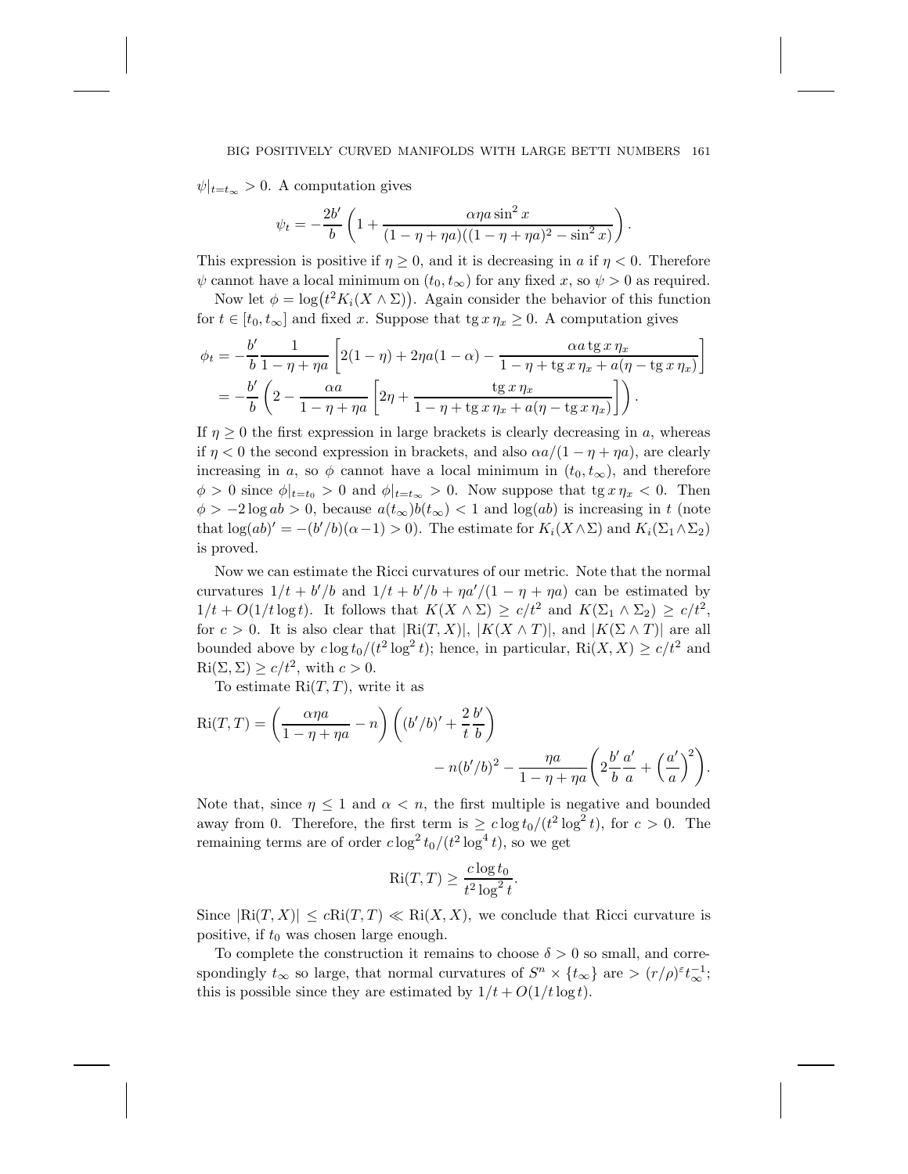#### BIG POSITIVELY CURVED MANIFOLDS WITH LARGE BETTI NUMBERS 161

 $\psi|_{t=t_{\infty}} > 0$ . A computation gives

$$
\psi_t = -\frac{2b'}{b} \left( 1 + \frac{\alpha \eta a \sin^2 x}{(1 - \eta + \eta a)((1 - \eta + \eta a)^2 - \sin^2 x)} \right).
$$

This expression is positive if  $\eta \geq 0$ , and it is decreasing in a if  $\eta < 0$ . Therefore  $\psi$  cannot have a local minimum on  $(t_0, t_\infty)$  for any fixed x, so  $\psi > 0$  as required.

Now let  $\phi = \log(t^2 K_i(X \wedge \Sigma))$ . Again consider the behavior of this function for  $t \in [t_0, t_\infty]$  and fixed x. Suppose that  $\operatorname{tg} x \eta_x \geq 0$ . A computation gives

$$
\phi_t = -\frac{b'}{b} \frac{1}{1 - \eta + \eta a} \left[ 2(1 - \eta) + 2\eta a (1 - \alpha) - \frac{\alpha a \lg x \eta_x}{1 - \eta + \lg x \eta_x + a(\eta - \lg x \eta_x)} \right]
$$
  
= 
$$
-\frac{b'}{b} \left( 2 - \frac{\alpha a}{1 - \eta + \eta a} \left[ 2\eta + \frac{\lg x \eta_x}{1 - \eta + \lg x \eta_x + a(\eta - \lg x \eta_x)} \right] \right).
$$

If  $\eta \geq 0$  the first expression in large brackets is clearly decreasing in a, whereas if  $\eta < 0$  the second expression in brackets, and also  $\alpha a/(1 - \eta + \eta a)$ , are clearly increasing in a, so  $\phi$  cannot have a local minimum in  $(t_0, t_\infty)$ , and therefore  $\phi > 0$  since  $\phi|_{t=t_0} > 0$  and  $\phi|_{t=t_\infty} > 0$ . Now suppose that tg  $x \eta_x < 0$ . Then  $\phi > -2 \log ab > 0$ , because  $a(t_{\infty})b(t_{\infty}) < 1$  and  $\log(ab)$  is increasing in t (note that  $\log(ab)' = -(b'/b)(\alpha - 1) > 0$ . The estimate for  $K_i(X \wedge \Sigma)$  and  $K_i(\Sigma_1 \wedge \Sigma_2)$ is proved.

Now we can estimate the Ricci curvatures of our metric. Note that the normal curvatures  $1/t + b'/b$  and  $1/t + b'/b + \eta a'/(1 - \eta + \eta a)$  can be estimated by  $1/t + O(1/t \log t)$ . It follows that  $K(X \wedge \Sigma) \geq c/t^2$  and  $K(\Sigma_1 \wedge \Sigma_2) \geq c/t^2$ , for  $c > 0$ . It is also clear that  $|Ri(T, X)|, |K(X \wedge T)|$ , and  $|K(\Sigma \wedge T)|$  are all bounded above by  $c \log t_0/(t^2 \log^2 t)$ ; hence, in particular,  $\text{Ri}(X, X) \geq c/t^2$  and  $\text{Ri}(\Sigma, \Sigma) \geq c/t^2$ , with  $c > 0$ .

To estimate  $\text{Ri}(T,T)$ , write it as

$$
Ri(T,T) = \left(\frac{\alpha\eta a}{1-\eta+\eta a} - n\right) \left( (b'/b)' + \frac{2}{t} \frac{b'}{b} \right)
$$

$$
- n(b'/b)^2 - \frac{\eta a}{1-\eta+\eta a} \left( 2\frac{b'}{b} \frac{a'}{a} + \left( \frac{a'}{a} \right)^2 \right).
$$

Note that, since  $\eta \leq 1$  and  $\alpha < n$ , the first multiple is negative and bounded away from 0. Therefore, the first term is  $\geq c \log t_0/(t^2 \log^2 t)$ , for  $c > 0$ . The remaining terms are of order  $c \log^2 t_0/(t^2 \log^4 t)$ , so we get

$$
\text{Ri}(T, T) \ge \frac{c \log t_0}{t^2 \log^2 t}.
$$

Since  $|Ri(T, X)| \leq cRi(T, T) \ll Ri(X, X)$ , we conclude that Ricci curvature is positive, if  $t_0$  was chosen large enough.

To complete the construction it remains to choose  $\delta > 0$  so small, and correspondingly  $t_{\infty}$  so large, that normal curvatures of  $S^n \times \{t_{\infty}\}\$ are  $> (r/\rho)^{\epsilon} t_{\infty}^{-1}$ ; this is possible since they are estimated by  $1/t + O(1/t \log t)$ .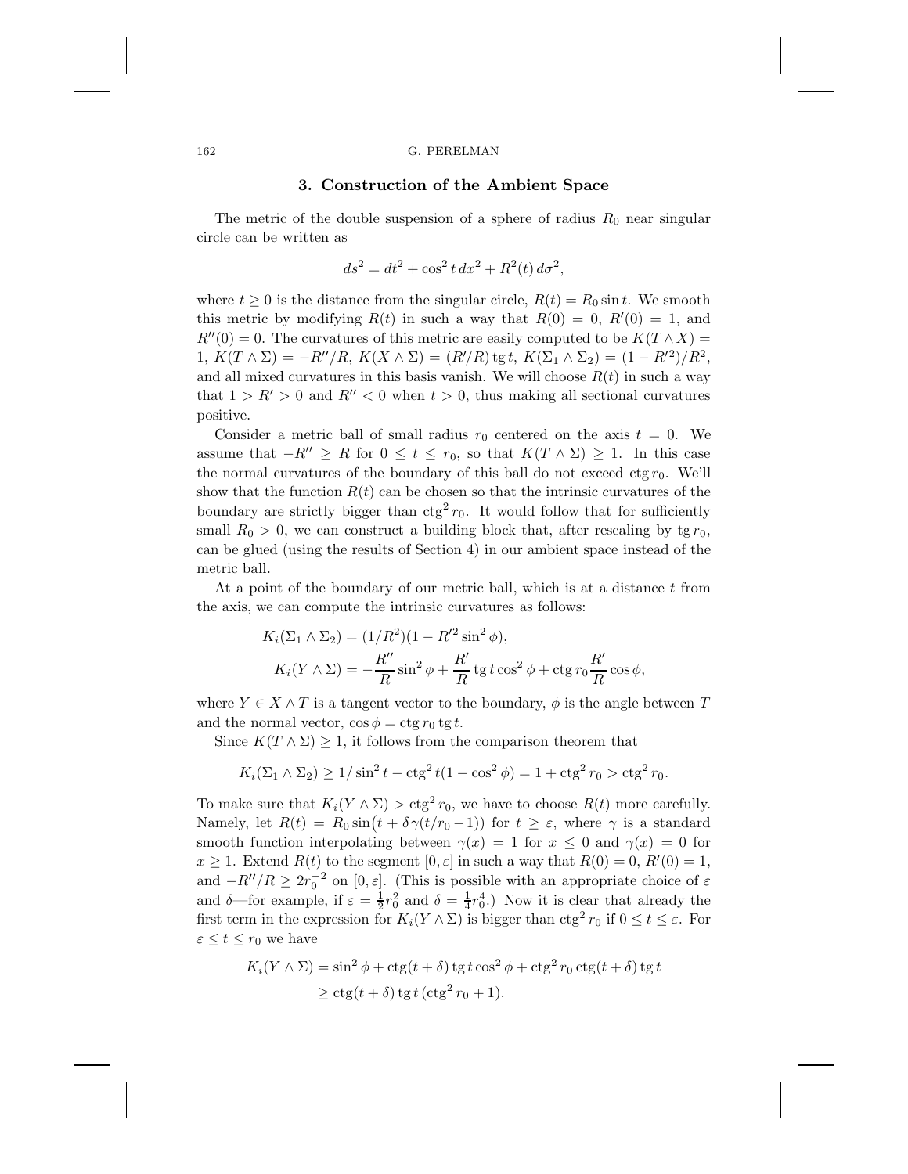### 162 G. PERELMAN

## **3. Construction of the Ambient Space**

The metric of the double suspension of a sphere of radius  $R_0$  near singular circle can be written as

$$
ds^{2} = dt^{2} + \cos^{2} t \, dx^{2} + R^{2}(t) \, d\sigma^{2},
$$

where  $t \geq 0$  is the distance from the singular circle,  $R(t) = R_0 \sin t$ . We smooth this metric by modifying  $R(t)$  in such a way that  $R(0) = 0$ ,  $R'(0) = 1$ , and  $R''(0) = 0$ . The curvatures of this metric are easily computed to be  $K(T \wedge X) =$ 1,  $K(T \wedge \Sigma) = -R''/R$ ,  $K(X \wedge \Sigma) = (R'/R)$  tg t,  $K(\Sigma_1 \wedge \Sigma_2) = (1 - R'^2)/R^2$ , and all mixed curvatures in this basis vanish. We will choose  $R(t)$  in such a way that  $1 > R' > 0$  and  $R'' < 0$  when  $t > 0$ , thus making all sectional curvatures positive.

Consider a metric ball of small radius  $r_0$  centered on the axis  $t = 0$ . We assume that  $-R'' \geq R$  for  $0 \leq t \leq r_0$ , so that  $K(T \wedge \Sigma) \geq 1$ . In this case the normal curvatures of the boundary of this ball do not exceed  $ctg r_0$ . We'll show that the function  $R(t)$  can be chosen so that the intrinsic curvatures of the boundary are strictly bigger than  $ctg^2 r_0$ . It would follow that for sufficiently small  $R_0 > 0$ , we can construct a building block that, after rescaling by tg  $r_0$ , can be glued (using the results of Section 4) in our ambient space instead of the metric ball.

At a point of the boundary of our metric ball, which is at a distance  $t$  from the axis, we can compute the intrinsic curvatures as follows:

$$
K_i(\Sigma_1 \wedge \Sigma_2) = (1/R^2)(1 - R'^2 \sin^2 \phi),
$$
  

$$
K_i(Y \wedge \Sigma) = -\frac{R''}{R} \sin^2 \phi + \frac{R'}{R} \text{tg } t \cos^2 \phi + \text{ctg } r_0 \frac{R'}{R} \cos \phi,
$$

where  $Y \in X \wedge T$  is a tangent vector to the boundary,  $\phi$  is the angle between T and the normal vector,  $\cos \phi = \text{ctg } r_0 \text{ tg } t$ .

Since  $K(T \wedge \Sigma) \geq 1$ , it follows from the comparison theorem that

$$
K_i(\Sigma_1 \wedge \Sigma_2) \ge 1/\sin^2 t - \csc^2 t (1 - \cos^2 \phi) = 1 + \csc^2 r_0 > \csc^2 r_0.
$$

To make sure that  $K_i(Y \wedge \Sigma) > \text{ctg}^2 r_0$ , we have to choose  $R(t)$  more carefully. Namely, let  $R(t) = R_0 \sin(t + \delta \gamma (t/r_0 - 1))$  for  $t \geq \varepsilon$ , where  $\gamma$  is a standard smooth function interpolating between  $\gamma(x) = 1$  for  $x \leq 0$  and  $\gamma(x) = 0$  for  $x \geq 1$ . Extend  $R(t)$  to the segment  $[0, \varepsilon]$  in such a way that  $R(0) = 0$ ,  $R'(0) = 1$ , and  $-R''/R \geq 2r_0^{-2}$  on  $[0, \varepsilon]$ . (This is possible with an appropriate choice of  $\varepsilon$ and  $\delta$ —for example, if  $\varepsilon = \frac{1}{2}r_0^2$  and  $\delta = \frac{1}{4}r_0^4$ .) Now it is clear that already the first term in the expression for  $K_i(Y \wedge \Sigma)$  is bigger than  $ctg^2 r_0$  if  $0 \le t \le \varepsilon$ . For  $\varepsilon \leq t \leq r_0$  we have

$$
K_i(Y \wedge \Sigma) = \sin^2 \phi + \ctg(t + \delta) \tg t \cos^2 \phi + \ctg^2 r_0 \ctg(t + \delta) \tg t
$$
  
 
$$
\ge \ctg(t + \delta) \tg t (\ctg^2 r_0 + 1).
$$